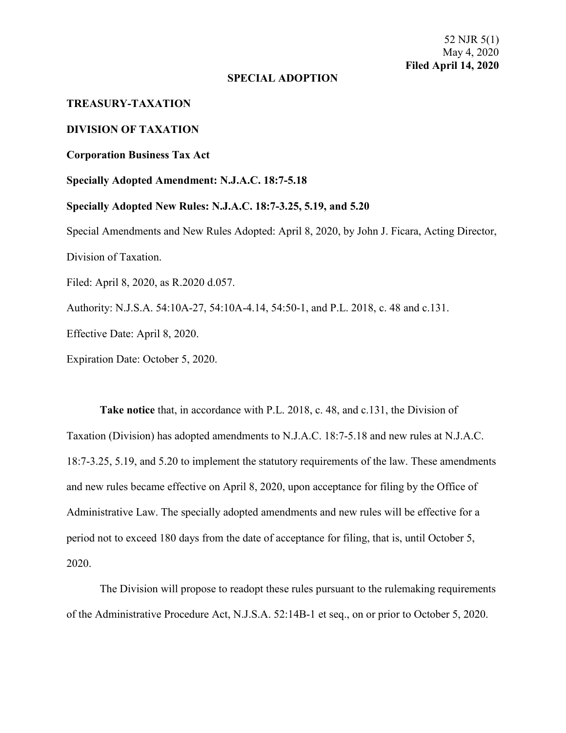### **SPECIAL ADOPTION**

# **TREASURY-TAXATION**

## **DIVISION OF TAXATION**

### **Corporation Business Tax Act**

### **Specially Adopted Amendment: N.J.A.C. 18:7-5.18**

**Specially Adopted New Rules: N.J.A.C. 18:7-3.25, 5.19, and 5.20**  Special Amendments and New Rules Adopted: April 8, 2020, by John J. Ficara, Acting Director, Division of Taxation. Filed: April 8, 2020, as R.2020 d.057.

Authority: N.J.S.A. 54:10A-27, 54:10A-4.14, 54:50-1, and P.L. 2018, c. 48 and c.131.

Effective Date: April 8, 2020.

Expiration Date: October 5, 2020.

**Take notice** that, in accordance with P.L. 2018, c. 48, and c.131, the Division of Taxation (Division) has adopted amendments to N.J.A.C. 18:7-5.18 and new rules at N.J.A.C. 18:7-3.25, 5.19, and 5.20 to implement the statutory requirements of the law. These amendments and new rules became effective on April 8, 2020, upon acceptance for filing by the Office of Administrative Law. The specially adopted amendments and new rules will be effective for a period not to exceed 180 days from the date of acceptance for filing, that is, until October 5, 2020.

The Division will propose to readopt these rules pursuant to the rulemaking requirements of the Administrative Procedure Act, N.J.S.A. 52:14B-1 et seq., on or prior to October 5, 2020.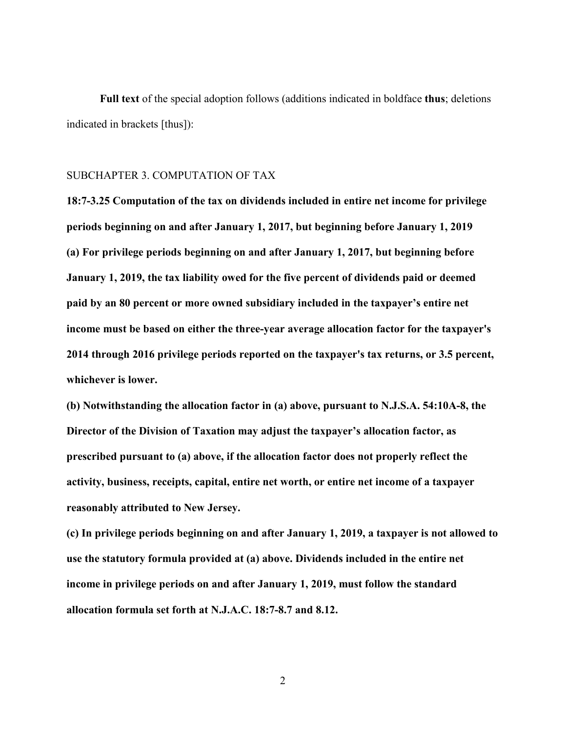**Full text** of the special adoption follows (additions indicated in boldface **thus**; deletions indicated in brackets [thus]):

# SUBCHAPTER 3. COMPUTATION OF TAX

**18:7-3.25 Computation of the tax on dividends included in entire net income for privilege periods beginning on and after January 1, 2017, but beginning before January 1, 2019 (a) For privilege periods beginning on and after January 1, 2017, but beginning before January 1, 2019, the tax liability owed for the five percent of dividends paid or deemed paid by an 80 percent or more owned subsidiary included in the taxpayer's entire net income must be based on either the three-year average allocation factor for the taxpayer's 2014 through 2016 privilege periods reported on the taxpayer's tax returns, or 3.5 percent, whichever is lower.**

**(b) Notwithstanding the allocation factor in (a) above, pursuant to N.J.S.A. 54:10A-8, the Director of the Division of Taxation may adjust the taxpayer's allocation factor, as prescribed pursuant to (a) above, if the allocation factor does not properly reflect the activity, business, receipts, capital, entire net worth, or entire net income of a taxpayer reasonably attributed to New Jersey.**

**(c) In privilege periods beginning on and after January 1, 2019, a taxpayer is not allowed to use the statutory formula provided at (a) above. Dividends included in the entire net income in privilege periods on and after January 1, 2019, must follow the standard allocation formula set forth at N.J.A.C. 18:7-8.7 and 8.12.**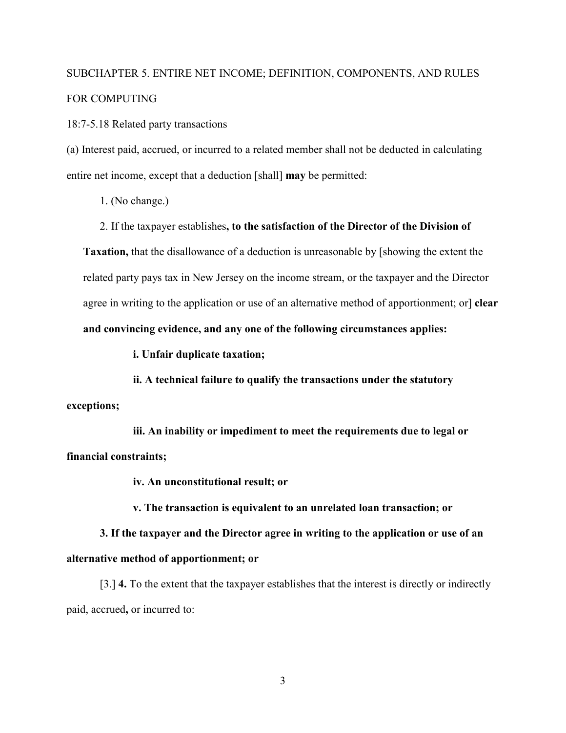# SUBCHAPTER 5. ENTIRE NET INCOME; DEFINITION, COMPONENTS, AND RULES FOR COMPUTING

18:7-5.18 Related party transactions

(a) Interest paid, accrued, or incurred to a related member shall not be deducted in calculating entire net income, except that a deduction [shall] **may** be permitted:

1. (No change.)

2. If the taxpayer establishes**, to the satisfaction of the Director of the Division of** 

**Taxation,** that the disallowance of a deduction is unreasonable by [showing the extent the related party pays tax in New Jersey on the income stream, or the taxpayer and the Director agree in writing to the application or use of an alternative method of apportionment; or] **clear and convincing evidence, and any one of the following circumstances applies:**

**i. Unfair duplicate taxation;**

**ii. A technical failure to qualify the transactions under the statutory exceptions;** 

**iii. An inability or impediment to meet the requirements due to legal or financial constraints;** 

**iv. An unconstitutional result; or**

**v. The transaction is equivalent to an unrelated loan transaction; or** 

**3. If the taxpayer and the Director agree in writing to the application or use of an alternative method of apportionment; or**

[3.] **4.** To the extent that the taxpayer establishes that the interest is directly or indirectly paid, accrued**,** or incurred to: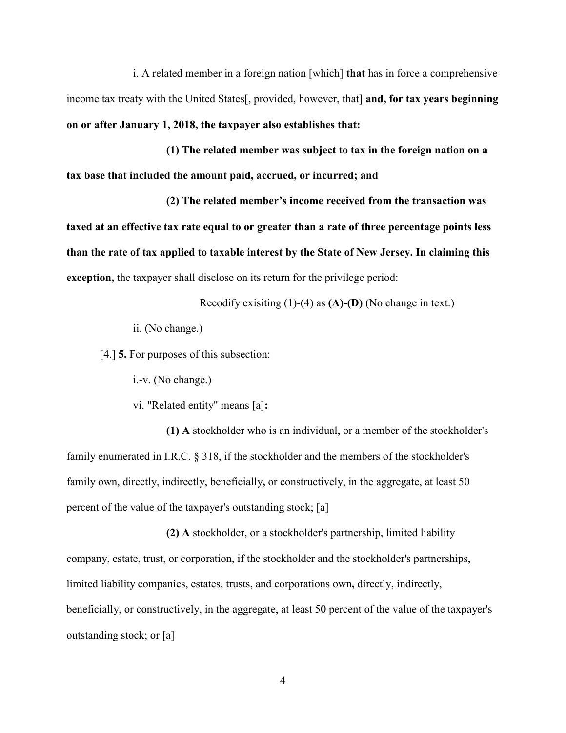i. A related member in a foreign nation [which] **that** has in force a comprehensive income tax treaty with the United States[, provided, however, that] **and, for tax years beginning on or after January 1, 2018, the taxpayer also establishes that:**

**(1) The related member was subject to tax in the foreign nation on a tax base that included the amount paid, accrued, or incurred; and**

**(2) The related member's income received from the transaction was taxed at an effective tax rate equal to or greater than a rate of three percentage points less than the rate of tax applied to taxable interest by the State of New Jersey. In claiming this exception,** the taxpayer shall disclose on its return for the privilege period:

Recodify exisiting (1)-(4) as **(A)-(D)** (No change in text.)

ii. (No change.)

[4.] **5.** For purposes of this subsection:

i.-v. (No change.)

vi. "Related entity" means [a]**:**

**(1) A** stockholder who is an individual, or a member of the stockholder's family enumerated in I.R.C. § 318, if the stockholder and the members of the stockholder's family own, directly, indirectly, beneficially**,** or constructively, in the aggregate, at least 50 percent of the value of the taxpayer's outstanding stock; [a]

**(2) A** stockholder, or a stockholder's partnership, limited liability company, estate, trust, or corporation, if the stockholder and the stockholder's partnerships, limited liability companies, estates, trusts, and corporations own**,** directly, indirectly, beneficially, or constructively, in the aggregate, at least 50 percent of the value of the taxpayer's outstanding stock; or [a]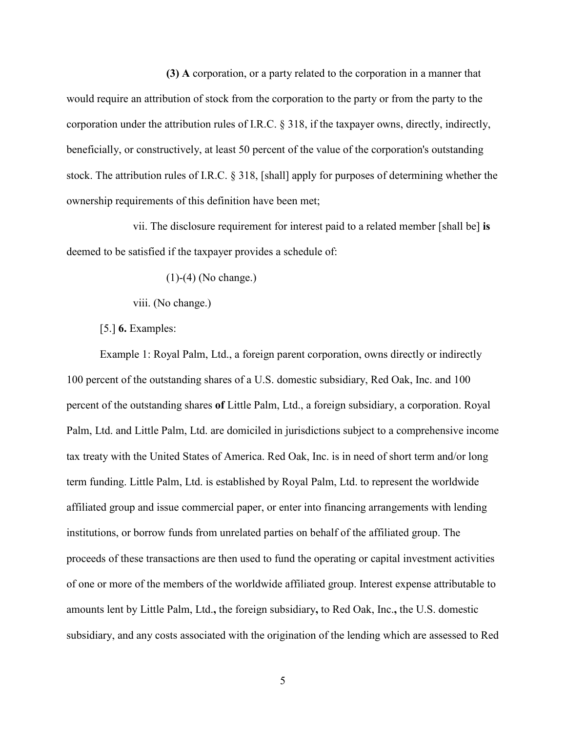**(3) A** corporation, or a party related to the corporation in a manner that would require an attribution of stock from the corporation to the party or from the party to the corporation under the attribution rules of I.R.C. § 318, if the taxpayer owns, directly, indirectly, beneficially, or constructively, at least 50 percent of the value of the corporation's outstanding stock. The attribution rules of I.R.C. § 318, [shall] apply for purposes of determining whether the ownership requirements of this definition have been met;

vii. The disclosure requirement for interest paid to a related member [shall be] **is** deemed to be satisfied if the taxpayer provides a schedule of:

(1)-(4) (No change.)

viii. (No change.)

[5.] **6.** Examples:

Example 1: Royal Palm, Ltd., a foreign parent corporation, owns directly or indirectly 100 percent of the outstanding shares of a U.S. domestic subsidiary, Red Oak, Inc. and 100 percent of the outstanding shares **of** Little Palm, Ltd., a foreign subsidiary, a corporation. Royal Palm, Ltd. and Little Palm, Ltd. are domiciled in jurisdictions subject to a comprehensive income tax treaty with the United States of America. Red Oak, Inc. is in need of short term and/or long term funding. Little Palm, Ltd. is established by Royal Palm, Ltd. to represent the worldwide affiliated group and issue commercial paper, or enter into financing arrangements with lending institutions, or borrow funds from unrelated parties on behalf of the affiliated group. The proceeds of these transactions are then used to fund the operating or capital investment activities of one or more of the members of the worldwide affiliated group. Interest expense attributable to amounts lent by Little Palm, Ltd.**,** the foreign subsidiary**,** to Red Oak, Inc.**,** the U.S. domestic subsidiary, and any costs associated with the origination of the lending which are assessed to Red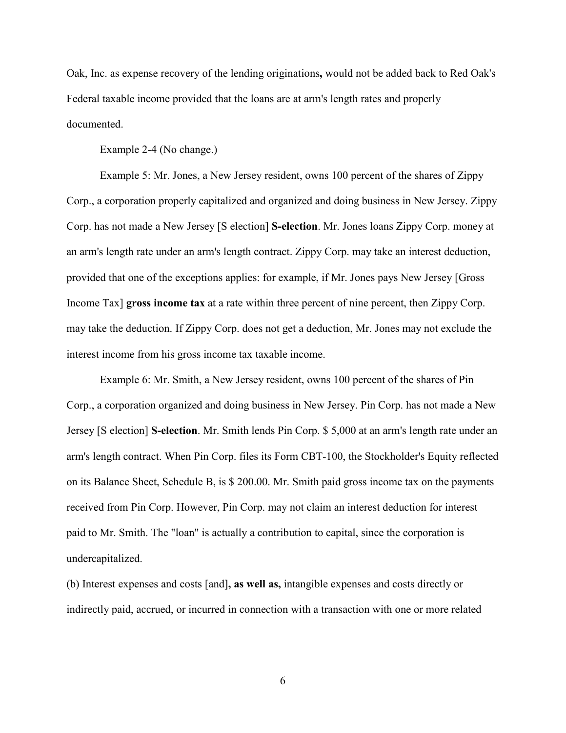Oak, Inc. as expense recovery of the lending originations**,** would not be added back to Red Oak's Federal taxable income provided that the loans are at arm's length rates and properly documented.

Example 2-4 (No change.)

Example 5: Mr. Jones, a New Jersey resident, owns 100 percent of the shares of Zippy Corp., a corporation properly capitalized and organized and doing business in New Jersey. Zippy Corp. has not made a New Jersey [S election] **S-election**. Mr. Jones loans Zippy Corp. money at an arm's length rate under an arm's length contract. Zippy Corp. may take an interest deduction, provided that one of the exceptions applies: for example, if Mr. Jones pays New Jersey [Gross Income Tax] **gross income tax** at a rate within three percent of nine percent, then Zippy Corp. may take the deduction. If Zippy Corp. does not get a deduction, Mr. Jones may not exclude the interest income from his gross income tax taxable income.

Example 6: Mr. Smith, a New Jersey resident, owns 100 percent of the shares of Pin Corp., a corporation organized and doing business in New Jersey. Pin Corp. has not made a New Jersey [S election] **S-election**. Mr. Smith lends Pin Corp. \$ 5,000 at an arm's length rate under an arm's length contract. When Pin Corp. files its Form CBT-100, the Stockholder's Equity reflected on its Balance Sheet, Schedule B, is \$ 200.00. Mr. Smith paid gross income tax on the payments received from Pin Corp. However, Pin Corp. may not claim an interest deduction for interest paid to Mr. Smith. The "loan" is actually a contribution to capital, since the corporation is undercapitalized.

(b) Interest expenses and costs [and]**, as well as,** intangible expenses and costs directly or indirectly paid, accrued, or incurred in connection with a transaction with one or more related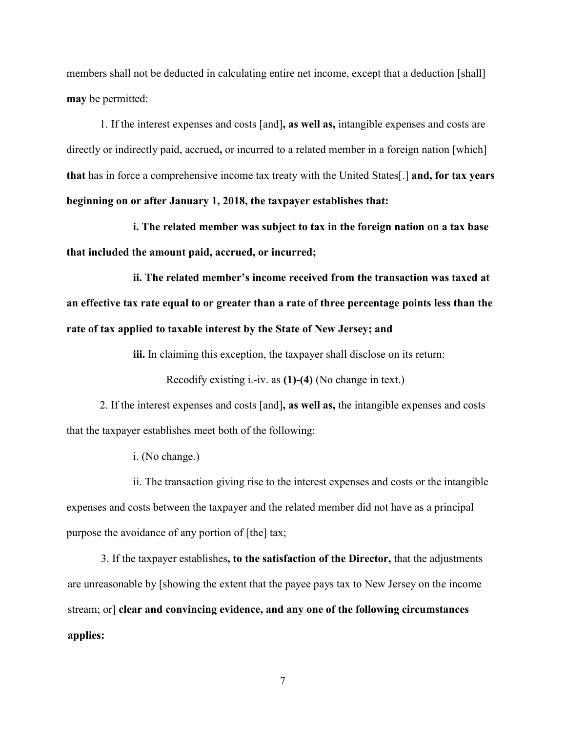members shall not be deducted in calculating entire net income, except that a deduction [shall] **may** be permitted:

1. If the interest expenses and costs [and]**, as well as,** intangible expenses and costs are directly or indirectly paid, accrued**,** or incurred to a related member in a foreign nation [which] **that** has in force a comprehensive income tax treaty with the United States[.] **and, for tax years beginning on or after January 1, 2018, the taxpayer establishes that:**

**i. The related member was subject to tax in the foreign nation on a tax base that included the amount paid, accrued, or incurred;**

**ii. The related member's income received from the transaction was taxed at an effective tax rate equal to or greater than a rate of three percentage points less than the rate of tax applied to taxable interest by the State of New Jersey; and**

**iii.** In claiming this exception, the taxpayer shall disclose on its return:

Recodify existing i.-iv. as **(1)-(4)** (No change in text.)

2. If the interest expenses and costs [and]**, as well as,** the intangible expenses and costs that the taxpayer establishes meet both of the following:

i. (No change.)

ii. The transaction giving rise to the interest expenses and costs or the intangible expenses and costs between the taxpayer and the related member did not have as a principal purpose the avoidance of any portion of [the] tax;

3. If the taxpayer establishes**, to the satisfaction of the Director,** that the adjustments are unreasonable by [showing the extent that the payee pays tax to New Jersey on the income stream; or] **clear and convincing evidence, and any one of the following circumstances applies:**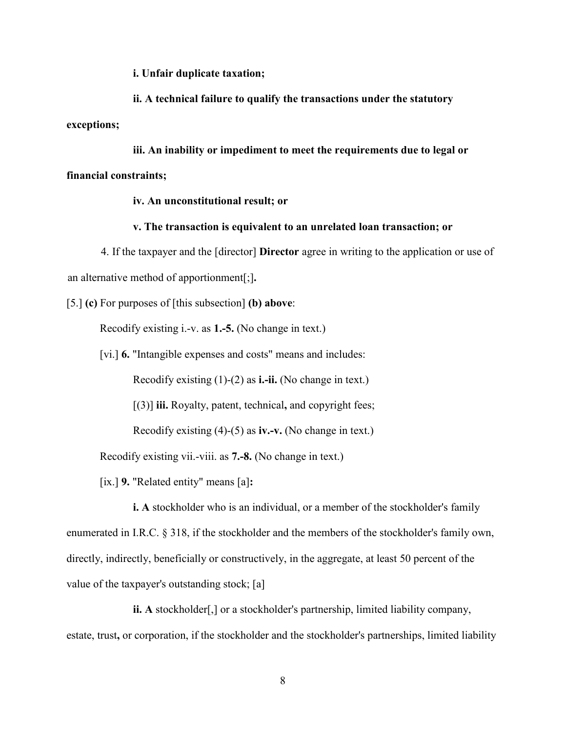**i. Unfair duplicate taxation;**

**ii. A technical failure to qualify the transactions under the statutory exceptions;**

**iii. An inability or impediment to meet the requirements due to legal or financial constraints;**

### **iv. An unconstitutional result; or**

**v. The transaction is equivalent to an unrelated loan transaction; or**

4. If the taxpayer and the [director] **Director** agree in writing to the application or use of an alternative method of apportionment[;]**.**

[5.] **(c)** For purposes of [this subsection] **(b) above**:

Recodify existing i.-v. as **1.-5.** (No change in text.)

[vi.] **6.** "Intangible expenses and costs" means and includes:

Recodify existing (1)-(2) as **i.-ii.** (No change in text.)

[(3)] **iii.** Royalty, patent, technical**,** and copyright fees;

Recodify existing (4)-(5) as **iv.-v.** (No change in text.)

Recodify existing vii.-viii. as **7.-8.** (No change in text.)

[ix.] **9.** "Related entity" means [a]**:**

**i.** A stockholder who is an individual, or a member of the stockholder's family enumerated in I.R.C. § 318, if the stockholder and the members of the stockholder's family own, directly, indirectly, beneficially or constructively, in the aggregate, at least 50 percent of the value of the taxpayer's outstanding stock; [a]

**ii. A** stockholder[,] or a stockholder's partnership, limited liability company, estate, trust**,** or corporation, if the stockholder and the stockholder's partnerships, limited liability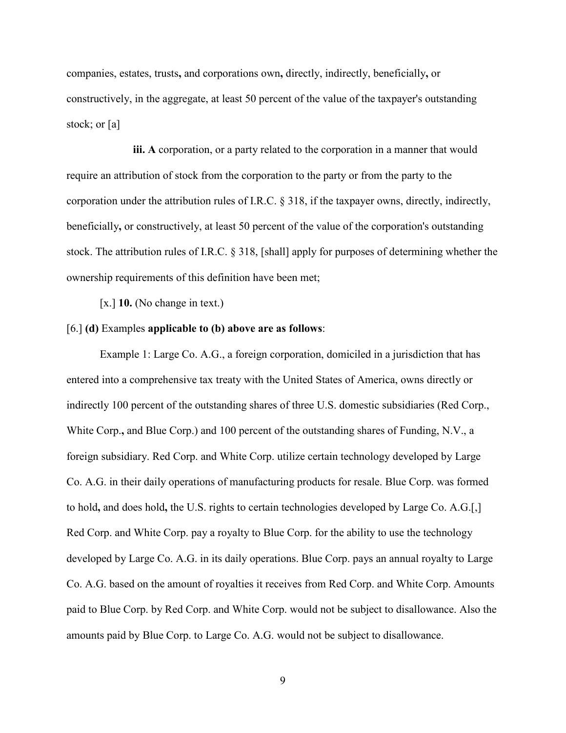companies, estates, trusts**,** and corporations own**,** directly, indirectly, beneficially**,** or constructively, in the aggregate, at least 50 percent of the value of the taxpayer's outstanding stock; or [a]

**iii. A** corporation, or a party related to the corporation in a manner that would require an attribution of stock from the corporation to the party or from the party to the corporation under the attribution rules of I.R.C. § 318, if the taxpayer owns, directly, indirectly, beneficially**,** or constructively, at least 50 percent of the value of the corporation's outstanding stock. The attribution rules of I.R.C. § 318, [shall] apply for purposes of determining whether the ownership requirements of this definition have been met;

[x.] **10.** (No change in text.)

### [6.] **(d)** Examples **applicable to (b) above are as follows**:

Example 1: Large Co. A.G., a foreign corporation, domiciled in a jurisdiction that has entered into a comprehensive tax treaty with the United States of America, owns directly or indirectly 100 percent of the outstanding shares of three U.S. domestic subsidiaries (Red Corp., White Corp.**,** and Blue Corp.) and 100 percent of the outstanding shares of Funding, N.V., a foreign subsidiary. Red Corp. and White Corp. utilize certain technology developed by Large Co. A.G. in their daily operations of manufacturing products for resale. Blue Corp. was formed to hold**,** and does hold**,** the U.S. rights to certain technologies developed by Large Co. A.G.[,] Red Corp. and White Corp. pay a royalty to Blue Corp. for the ability to use the technology developed by Large Co. A.G. in its daily operations. Blue Corp. pays an annual royalty to Large Co. A.G. based on the amount of royalties it receives from Red Corp. and White Corp. Amounts paid to Blue Corp. by Red Corp. and White Corp. would not be subject to disallowance. Also the amounts paid by Blue Corp. to Large Co. A.G. would not be subject to disallowance.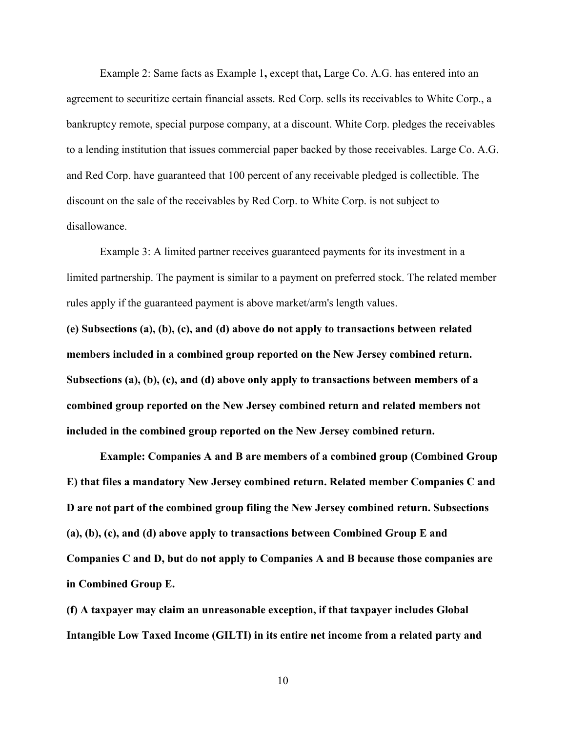Example 2: Same facts as Example 1**,** except that**,** Large Co. A.G. has entered into an agreement to securitize certain financial assets. Red Corp. sells its receivables to White Corp., a bankruptcy remote, special purpose company, at a discount. White Corp. pledges the receivables to a lending institution that issues commercial paper backed by those receivables. Large Co. A.G. and Red Corp. have guaranteed that 100 percent of any receivable pledged is collectible. The discount on the sale of the receivables by Red Corp. to White Corp. is not subject to disallowance.

Example 3: A limited partner receives guaranteed payments for its investment in a limited partnership. The payment is similar to a payment on preferred stock. The related member rules apply if the guaranteed payment is above market/arm's length values.

**(e) Subsections (a), (b), (c), and (d) above do not apply to transactions between related members included in a combined group reported on the New Jersey combined return. Subsections (a), (b), (c), and (d) above only apply to transactions between members of a combined group reported on the New Jersey combined return and related members not included in the combined group reported on the New Jersey combined return.** 

**Example: Companies A and B are members of a combined group (Combined Group E) that files a mandatory New Jersey combined return. Related member Companies C and D are not part of the combined group filing the New Jersey combined return. Subsections (a), (b), (c), and (d) above apply to transactions between Combined Group E and Companies C and D, but do not apply to Companies A and B because those companies are in Combined Group E.**

**(f) A taxpayer may claim an unreasonable exception, if that taxpayer includes Global Intangible Low Taxed Income (GILTI) in its entire net income from a related party and**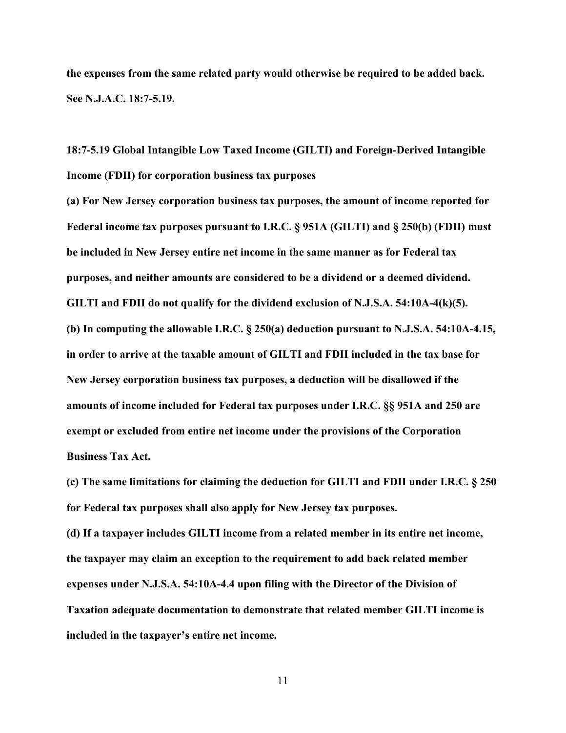**the expenses from the same related party would otherwise be required to be added back. See N.J.A.C. 18:7-5.19.**

**18:7-5.19 Global Intangible Low Taxed Income (GILTI) and Foreign-Derived Intangible Income (FDII) for corporation business tax purposes**

**(a) For New Jersey corporation business tax purposes, the amount of income reported for Federal income tax purposes pursuant to I.R.C. § 951A (GILTI) and § 250(b) (FDII) must be included in New Jersey entire net income in the same manner as for Federal tax purposes, and neither amounts are considered to be a dividend or a deemed dividend. GILTI and FDII do not qualify for the dividend exclusion of N.J.S.A. 54:10A-4(k)(5). (b) In computing the allowable I.R.C. § 250(a) deduction pursuant to N.J.S.A. 54:10A-4.15, in order to arrive at the taxable amount of GILTI and FDII included in the tax base for New Jersey corporation business tax purposes, a deduction will be disallowed if the amounts of income included for Federal tax purposes under I.R.C. §§ 951A and 250 are exempt or excluded from entire net income under the provisions of the Corporation Business Tax Act.**

**(c) The same limitations for claiming the deduction for GILTI and FDII under I.R.C. § 250 for Federal tax purposes shall also apply for New Jersey tax purposes.** 

**(d) If a taxpayer includes GILTI income from a related member in its entire net income, the taxpayer may claim an exception to the requirement to add back related member expenses under N.J.S.A. 54:10A-4.4 upon filing with the Director of the Division of Taxation adequate documentation to demonstrate that related member GILTI income is included in the taxpayer's entire net income.**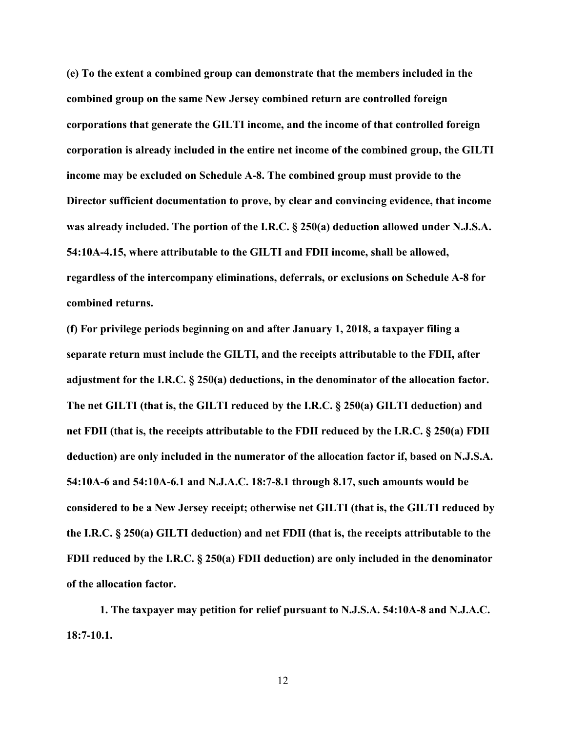**(e) To the extent a combined group can demonstrate that the members included in the combined group on the same New Jersey combined return are controlled foreign corporations that generate the GILTI income, and the income of that controlled foreign corporation is already included in the entire net income of the combined group, the GILTI income may be excluded on Schedule A-8. The combined group must provide to the Director sufficient documentation to prove, by clear and convincing evidence, that income was already included. The portion of the I.R.C. § 250(a) deduction allowed under N.J.S.A. 54:10A-4.15, where attributable to the GILTI and FDII income, shall be allowed, regardless of the intercompany eliminations, deferrals, or exclusions on Schedule A-8 for combined returns.**

**(f) For privilege periods beginning on and after January 1, 2018, a taxpayer filing a separate return must include the GILTI, and the receipts attributable to the FDII, after adjustment for the I.R.C. § 250(a) deductions, in the denominator of the allocation factor. The net GILTI (that is, the GILTI reduced by the I.R.C. § 250(a) GILTI deduction) and net FDII (that is, the receipts attributable to the FDII reduced by the I.R.C. § 250(a) FDII deduction) are only included in the numerator of the allocation factor if, based on N.J.S.A. 54:10A-6 and 54:10A-6.1 and N.J.A.C. 18:7-8.1 through 8.17, such amounts would be considered to be a New Jersey receipt; otherwise net GILTI (that is, the GILTI reduced by the I.R.C. § 250(a) GILTI deduction) and net FDII (that is, the receipts attributable to the FDII reduced by the I.R.C. § 250(a) FDII deduction) are only included in the denominator of the allocation factor.**

**1. The taxpayer may petition for relief pursuant to N.J.S.A. 54:10A-8 and N.J.A.C. 18:7-10.1.**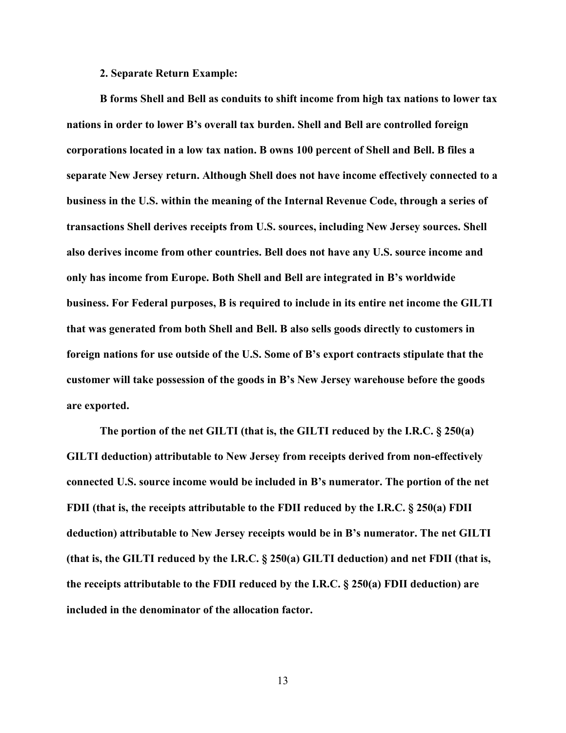#### **2. Separate Return Example:**

**B forms Shell and Bell as conduits to shift income from high tax nations to lower tax nations in order to lower B's overall tax burden. Shell and Bell are controlled foreign corporations located in a low tax nation. B owns 100 percent of Shell and Bell. B files a separate New Jersey return. Although Shell does not have income effectively connected to a business in the U.S. within the meaning of the Internal Revenue Code, through a series of transactions Shell derives receipts from U.S. sources, including New Jersey sources. Shell also derives income from other countries. Bell does not have any U.S. source income and only has income from Europe. Both Shell and Bell are integrated in B's worldwide business. For Federal purposes, B is required to include in its entire net income the GILTI that was generated from both Shell and Bell. B also sells goods directly to customers in foreign nations for use outside of the U.S. Some of B's export contracts stipulate that the customer will take possession of the goods in B's New Jersey warehouse before the goods are exported.** 

**The portion of the net GILTI (that is, the GILTI reduced by the I.R.C. § 250(a) GILTI deduction) attributable to New Jersey from receipts derived from non-effectively connected U.S. source income would be included in B's numerator. The portion of the net FDII (that is, the receipts attributable to the FDII reduced by the I.R.C. § 250(a) FDII deduction) attributable to New Jersey receipts would be in B's numerator. The net GILTI (that is, the GILTI reduced by the I.R.C. § 250(a) GILTI deduction) and net FDII (that is, the receipts attributable to the FDII reduced by the I.R.C. § 250(a) FDII deduction) are included in the denominator of the allocation factor.**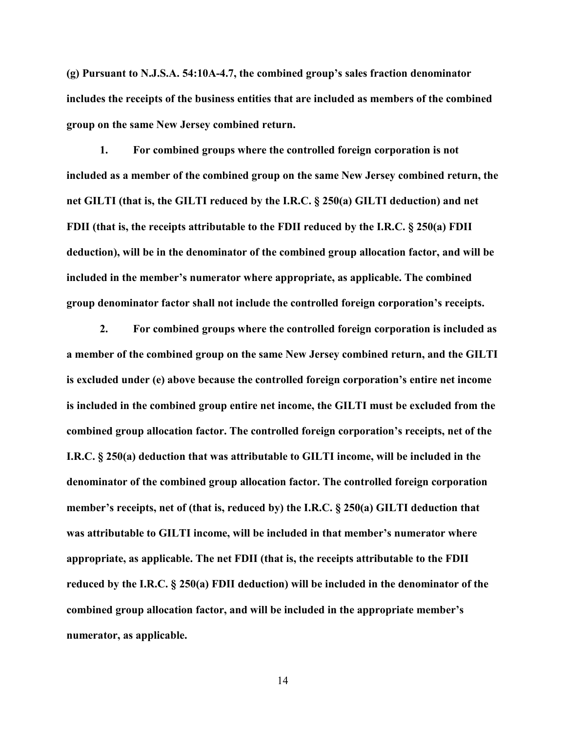**(g) Pursuant to N.J.S.A. 54:10A-4.7, the combined group's sales fraction denominator includes the receipts of the business entities that are included as members of the combined group on the same New Jersey combined return.**

**1. For combined groups where the controlled foreign corporation is not included as a member of the combined group on the same New Jersey combined return, the net GILTI (that is, the GILTI reduced by the I.R.C. § 250(a) GILTI deduction) and net FDII (that is, the receipts attributable to the FDII reduced by the I.R.C. § 250(a) FDII deduction), will be in the denominator of the combined group allocation factor, and will be included in the member's numerator where appropriate, as applicable. The combined group denominator factor shall not include the controlled foreign corporation's receipts.**

**2. For combined groups where the controlled foreign corporation is included as a member of the combined group on the same New Jersey combined return, and the GILTI is excluded under (e) above because the controlled foreign corporation's entire net income is included in the combined group entire net income, the GILTI must be excluded from the combined group allocation factor. The controlled foreign corporation's receipts, net of the I.R.C. § 250(a) deduction that was attributable to GILTI income, will be included in the denominator of the combined group allocation factor. The controlled foreign corporation member's receipts, net of (that is, reduced by) the I.R.C. § 250(a) GILTI deduction that was attributable to GILTI income, will be included in that member's numerator where appropriate, as applicable. The net FDII (that is, the receipts attributable to the FDII reduced by the I.R.C. § 250(a) FDII deduction) will be included in the denominator of the combined group allocation factor, and will be included in the appropriate member's numerator, as applicable.**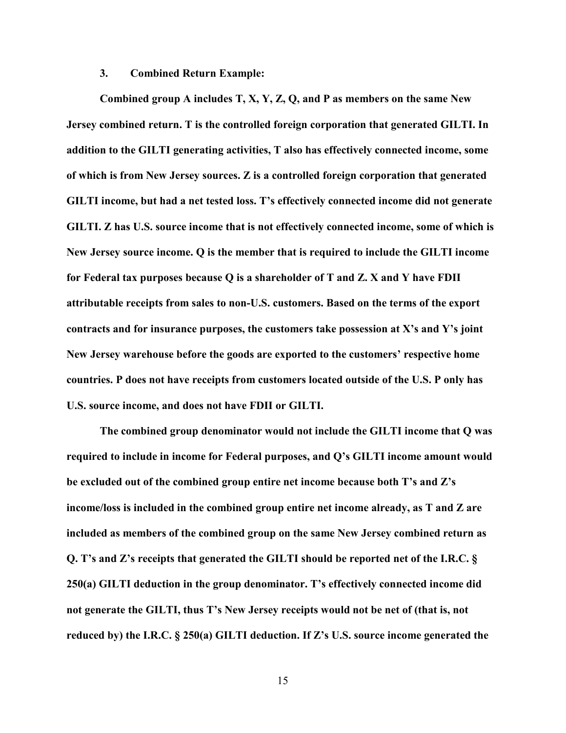### **3. Combined Return Example:**

**Combined group A includes T, X, Y, Z, Q, and P as members on the same New Jersey combined return. T is the controlled foreign corporation that generated GILTI. In addition to the GILTI generating activities, T also has effectively connected income, some of which is from New Jersey sources. Z is a controlled foreign corporation that generated GILTI income, but had a net tested loss. T's effectively connected income did not generate GILTI. Z has U.S. source income that is not effectively connected income, some of which is New Jersey source income. Q is the member that is required to include the GILTI income for Federal tax purposes because Q is a shareholder of T and Z. X and Y have FDII attributable receipts from sales to non-U.S. customers. Based on the terms of the export contracts and for insurance purposes, the customers take possession at X's and Y's joint New Jersey warehouse before the goods are exported to the customers' respective home countries. P does not have receipts from customers located outside of the U.S. P only has U.S. source income, and does not have FDII or GILTI.** 

**The combined group denominator would not include the GILTI income that Q was required to include in income for Federal purposes, and Q's GILTI income amount would be excluded out of the combined group entire net income because both T's and Z's income/loss is included in the combined group entire net income already, as T and Z are included as members of the combined group on the same New Jersey combined return as Q. T's and Z's receipts that generated the GILTI should be reported net of the I.R.C. § 250(a) GILTI deduction in the group denominator. T's effectively connected income did not generate the GILTI, thus T's New Jersey receipts would not be net of (that is, not reduced by) the I.R.C. § 250(a) GILTI deduction. If Z's U.S. source income generated the**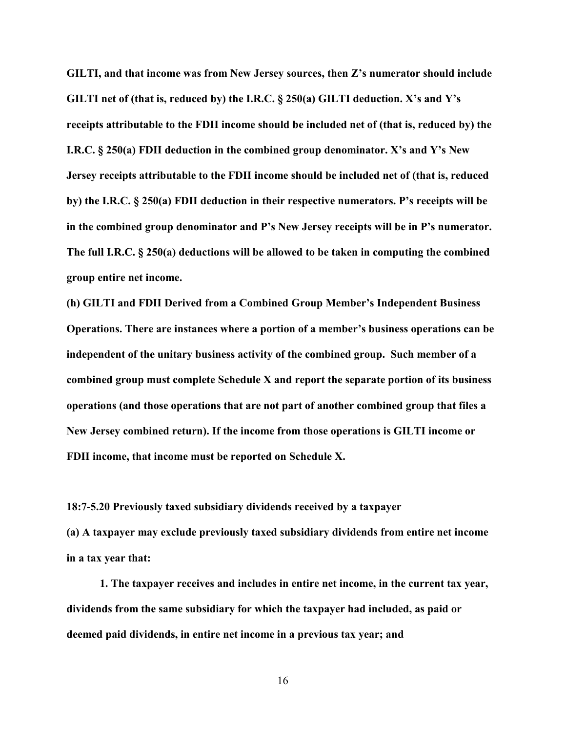**GILTI, and that income was from New Jersey sources, then Z's numerator should include GILTI net of (that is, reduced by) the I.R.C. § 250(a) GILTI deduction. X's and Y's receipts attributable to the FDII income should be included net of (that is, reduced by) the I.R.C. § 250(a) FDII deduction in the combined group denominator. X's and Y's New Jersey receipts attributable to the FDII income should be included net of (that is, reduced by) the I.R.C. § 250(a) FDII deduction in their respective numerators. P's receipts will be in the combined group denominator and P's New Jersey receipts will be in P's numerator. The full I.R.C. § 250(a) deductions will be allowed to be taken in computing the combined group entire net income.**

**(h) GILTI and FDII Derived from a Combined Group Member's Independent Business Operations. There are instances where a portion of a member's business operations can be independent of the unitary business activity of the combined group. Such member of a combined group must complete Schedule X and report the separate portion of its business operations (and those operations that are not part of another combined group that files a New Jersey combined return). If the income from those operations is GILTI income or FDII income, that income must be reported on Schedule X.** 

**18:7-5.20 Previously taxed subsidiary dividends received by a taxpayer**

**(a) A taxpayer may exclude previously taxed subsidiary dividends from entire net income in a tax year that:**

**1. The taxpayer receives and includes in entire net income, in the current tax year, dividends from the same subsidiary for which the taxpayer had included, as paid or deemed paid dividends, in entire net income in a previous tax year; and**